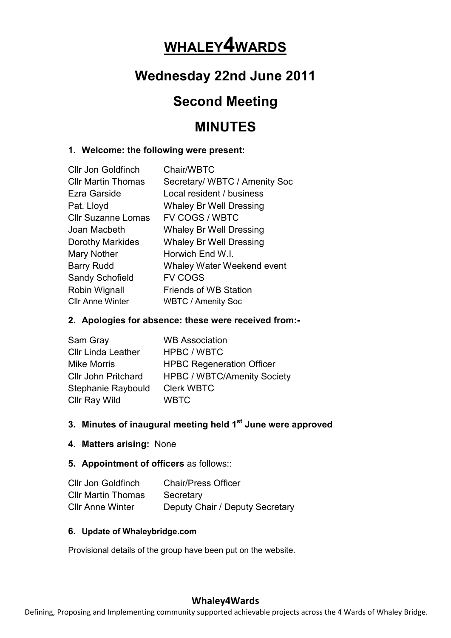# **WHALEY4WARDS**

# **Wednesday 22nd June 2011**

## **Second Meeting**

### **MINUTES**

#### **1. Welcome: the following were present:**

| Chair/WBTC                     |
|--------------------------------|
| Secretary/ WBTC / Amenity Soc  |
| Local resident / business      |
| <b>Whaley Br Well Dressing</b> |
| <b>FV COGS / WBTC</b>          |
| <b>Whaley Br Well Dressing</b> |
| <b>Whaley Br Well Dressing</b> |
| Horwich End W.I.               |
| Whaley Water Weekend event     |
| <b>FV COGS</b>                 |
| <b>Friends of WB Station</b>   |
| <b>WBTC / Amenity Soc</b>      |
|                                |

#### **2. Apologies for absence: these were received from:-**

| Sam Gray                   | <b>WB Association</b>              |
|----------------------------|------------------------------------|
| <b>Cllr Linda Leather</b>  | HPBC / WBTC                        |
| <b>Mike Morris</b>         | <b>HPBC Regeneration Officer</b>   |
| <b>Cllr John Pritchard</b> | <b>HPBC / WBTC/Amenity Society</b> |
| Stephanie Raybould         | <b>Clerk WBTC</b>                  |
| Cllr Ray Wild              | <b>WBTC</b>                        |

#### **3. Minutes of inaugural meeting held 1st June were approved**

**4. Matters arising:** None

#### **5. Appointment of officers** as follows::

| <b>Cllr Jon Goldfinch</b> | <b>Chair/Press Officer</b>      |
|---------------------------|---------------------------------|
| <b>CIIr Martin Thomas</b> | Secretary                       |
| <b>CIIr Anne Winter</b>   | Deputy Chair / Deputy Secretary |

#### **6. Update of Whaleybridge.com**

Provisional details of the group have been put on the website.

#### **Whaley4Wards**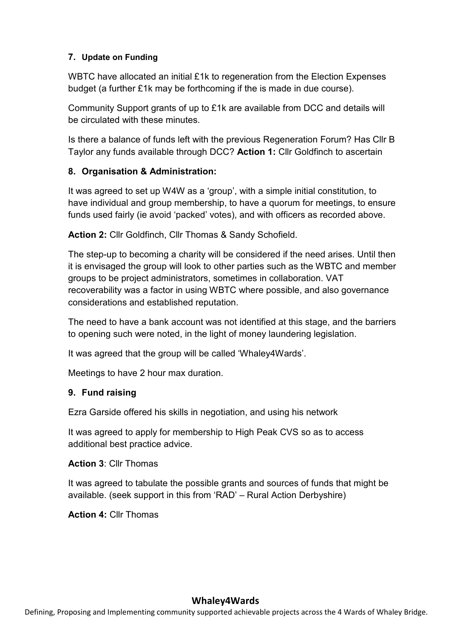#### **7. Update on Funding**

WBTC have allocated an initial £1k to regeneration from the Election Expenses budget (a further £1k may be forthcoming if the is made in due course).

Community Support grants of up to £1k are available from DCC and details will be circulated with these minutes.

Is there a balance of funds left with the previous Regeneration Forum? Has Cllr B Taylor any funds available through DCC? **Action 1:** Cllr Goldfinch to ascertain

#### **8. Organisation & Administration:**

It was agreed to set up W4W as a 'group', with a simple initial constitution, to have individual and group membership, to have a quorum for meetings, to ensure funds used fairly (ie avoid 'packed' votes), and with officers as recorded above.

**Action 2:** Cllr Goldfinch, Cllr Thomas & Sandy Schofield.

The step-up to becoming a charity will be considered if the need arises. Until then it is envisaged the group will look to other parties such as the WBTC and member groups to be project administrators, sometimes in collaboration. VAT recoverability was a factor in using WBTC where possible, and also governance considerations and established reputation.

The need to have a bank account was not identified at this stage, and the barriers to opening such were noted, in the light of money laundering legislation.

It was agreed that the group will be called 'Whaley4Wards'.

Meetings to have 2 hour max duration.

#### **9. Fund raising**

Ezra Garside offered his skills in negotiation, and using his network

It was agreed to apply for membership to High Peak CVS so as to access additional best practice advice.

**Action 3**: Cllr Thomas

It was agreed to tabulate the possible grants and sources of funds that might be available. (seek support in this from 'RAD' – Rural Action Derbyshire)

**Action 4:** Cllr Thomas

#### **Whaley4Wards**

Defining, Proposing and Implementing community supported achievable projects across the 4 Wards of Whaley Bridge.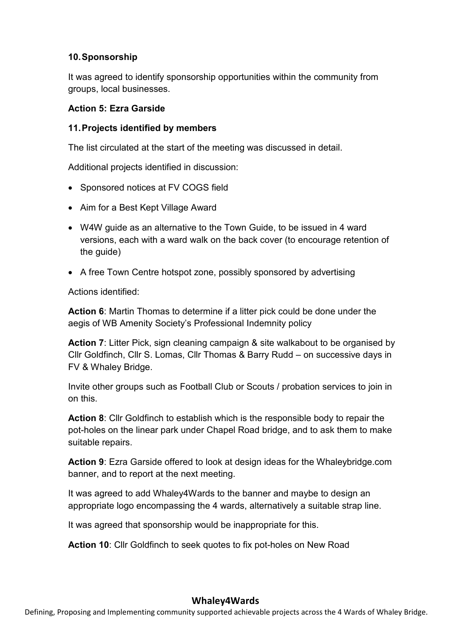#### **10. Sponsorship**

It was agreed to identify sponsorship opportunities within the community from groups, local businesses.

#### **Action 5: Ezra Garside**

#### **11. Projects identified by members**

The list circulated at the start of the meeting was discussed in detail.

Additional projects identified in discussion:

- Sponsored notices at FV COGS field
- Aim for a Best Kept Village Award
- W4W guide as an alternative to the Town Guide, to be issued in 4 ward versions, each with a ward walk on the back cover (to encourage retention of the guide)
- A free Town Centre hotspot zone, possibly sponsored by advertising

Actions identified:

**Action 6**: Martin Thomas to determine if a litter pick could be done under the aegis of WB Amenity Society's Professional Indemnity policy

**Action 7**: Litter Pick, sign cleaning campaign & site walkabout to be organised by Cllr Goldfinch, Cllr S. Lomas, Cllr Thomas & Barry Rudd – on successive days in FV & Whaley Bridge.

Invite other groups such as Football Club or Scouts / probation services to join in on this.

**Action 8**: Cllr Goldfinch to establish which is the responsible body to repair the pot-holes on the linear park under Chapel Road bridge, and to ask them to make suitable repairs.

**Action 9**: Ezra Garside offered to look at design ideas for the Whaleybridge.com banner, and to report at the next meeting.

It was agreed to add Whaley4Wards to the banner and maybe to design an appropriate logo encompassing the 4 wards, alternatively a suitable strap line.

It was agreed that sponsorship would be inappropriate for this.

**Action 10**: Cllr Goldfinch to seek quotes to fix pot-holes on New Road

#### **Whaley4Wards**